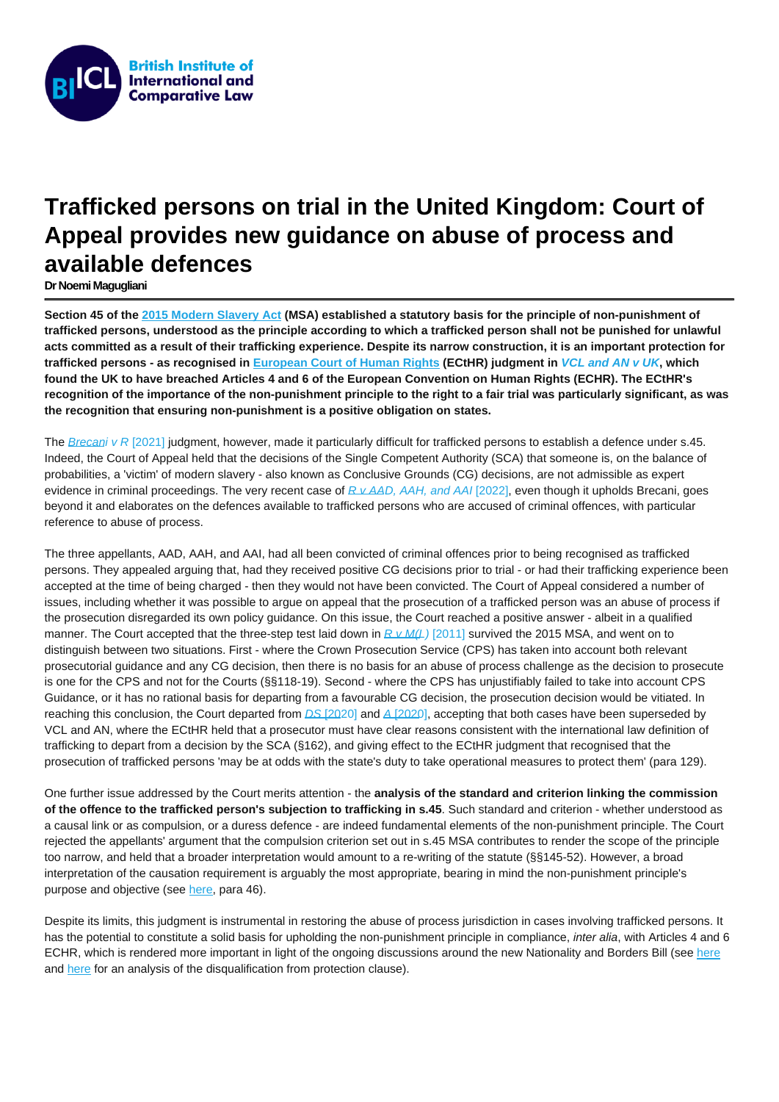## Trafficked persons on trial in the United Kingdom: Court of Appeal provides new guidance on abuse of process and available defences

[Dr Noemi Magugliani](https://www.biicl.org/people/noemi-magugliani)

Section 45 of the [2015 Modern Slavery Act](https://www.legislation.gov.uk/ukpga/2015/30/contents/enacted) (MSA) established a statutory basis for the principle of non-punishment of trafficked persons, understood as the principle according to which a trafficked person shall not be punished for unlawful acts committed as a result of their trafficking experience. Despite its narrow construction, it is an important protection for trafficked persons - as recognised in [European Court of Human Rights](https://www.echr.coe.int/documents/convention_eng.pdf) (ECtHR) judgment in [VCL and AN v UK](https://hudoc.echr.coe.int/fre?i=001-207927), which found the UK to have breached Articles 4 and 6 of the European Convention on Human Rights (ECHR). The ECtHR's recognition of the importance of the non-punishment principle to the right to a fair trial was particularly significant, as was the recognition that ensuring non-punishment is a positive obligation on states.

The [Brecani v R](https://www.bailii.org/ew/cases/EWCA/Crim/2021/731.html) [2021] judgment, however, made it particularly difficult for trafficked persons to establish a defence under s.45. Indeed, the Court of Appeal held that the decisions of the Single Competent Authority (SCA) that someone is, on the balance of probabilities, a 'victim' of modern slavery - also known as Conclusive Grounds (CG) decisions, are not admissible as expert evidence in criminal proceedings. The very recent case of  $R \vee AAD$ , AAH, and AAI [2022], even though it upholds Brecani, goes beyond it and elaborates on the defences available to trafficked persons who are accused of criminal offences, with particular reference to abuse of process.

The three appellants, AAD, AAH, and AAI, had all been convicted of criminal offences prior to being recognised as trafficked persons. They appealed arguing that, had they received positive CG decisions prior to trial - or had their trafficking experience been accepted at the time of being charged - then they would not have been convicted. The Court of Appeal considered a number of issues, including whether it was possible to argue on appeal that the prosecution of a trafficked person was an abuse of process if the prosecution disregarded its own policy guidance. On this issue, the Court reached a positive answer - albeit in a qualified manner. The Court accepted that the three-step test laid down in  $R_v M(L)$  [2011] survived the 2015 MSA, and went on to distinguish between two situations. First - where the Crown Prosecution Service (CPS) has taken into account both relevant prosecutorial guidance and any CG decision, then there is no basis for an abuse of process challenge as the decision to prosecute is one for the CPS and not for the Courts (§§118-19). Second - where the CPS has unjustifiably failed to take into account CPS Guidance, or it has no rational basis for departing from a favourable CG decision, the prosecution decision would be vitiated. In reaching this conclusion, the Court departed from [DS \[202](https://www.bailii.org/ew/cases/EWCA/Crim/2020/285.html)0] and [A \[2020](https://www.bailii.org/ew/cases/EWCA/Crim/2020/1408.html)], accepting that both cases have been superseded by VCL and AN, where the ECtHR held that a prosecutor must have clear reasons consistent with the international law definition of trafficking to depart from a decision by the SCA (§162), and giving effect to the ECtHR judgment that recognised that the prosecution of trafficked persons 'may be at odds with the state's duty to take operational measures to protect them' (para 129).

One further issue addressed by the Court merits attention - the analysis of the standard and criterion linking the commission of the offence to the trafficked person's subjection to trafficking in s.45 . Such standard and criterion - whether understood as a causal link or as compulsion, or a duress defence - are indeed fundamental elements of the non-punishment principle. The Court rejected the appellants' argument that the compulsion criterion set out in s.45 MSA contributes to render the scope of the principle too narrow, and held that a broader interpretation would amount to a re-writing of the statute (§§145-52). However, a broad interpretation of the causation requirement is arguably the most appropriate, bearing in mind the non-punishment principle's purpose and objective (see [here,](https://undocs.org/A/HRC/47/34) para 46).

Despite its limits, this judgment is instrumental in restoring the abuse of process jurisdiction in cases involving trafficked persons. It has the potential to constitute a solid basis for upholding the non-punishment principle in compliance, inter alia, with Articles 4 and 6 ECHR, which is rendered more important in light of the ongoing discussions around the new Nationality and Borders Bill (see [here](https://www.nottingham.ac.uk/research/beacons-of-excellence/rights-lab/resources/reports-and-briefings/2021/october/consideration-paper-nationality-and-borders-bill.pdf) and [here](https://spcommreports.ohchr.org/TMResultsBase/DownLoadPublicCommunicationFile?gId=26788) for an analysis of the disqualification from protection clause).